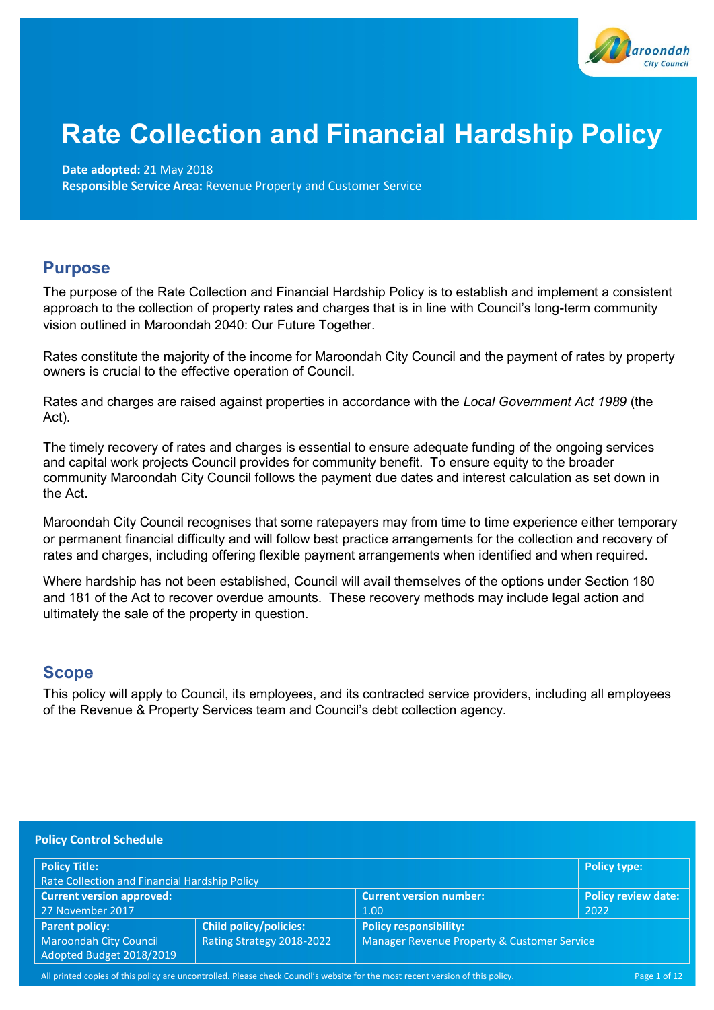

# **Rate Collection and Financial Hardship Policy**

## **Date adopted:** 21 May 2018

**Responsible Service Area:** Revenue Property and Customer Service

## **Purpose**

The purpose of the Rate Collection and Financial Hardship Policy is to establish and implement a consistent approach to the collection of property rates and charges that is in line with Council's long-term community vision outlined in Maroondah 2040: Our Future Together.

Rates constitute the majority of the income for Maroondah City Council and the payment of rates by property owners is crucial to the effective operation of Council.

Rates and charges are raised against properties in accordance with the *Local Government Act 1989* (the Act).

The timely recovery of rates and charges is essential to ensure adequate funding of the ongoing services and capital work projects Council provides for community benefit. To ensure equity to the broader community Maroondah City Council follows the payment due dates and interest calculation as set down in the Act.

Maroondah City Council recognises that some ratepayers may from time to time experience either temporary or permanent financial difficulty and will follow best practice arrangements for the collection and recovery of rates and charges, including offering flexible payment arrangements when identified and when required.

Where hardship has not been established, Council will avail themselves of the options under Section 180 and 181 of the Act to recover overdue amounts. These recovery methods may include legal action and ultimately the sale of the property in question.

## **Scope**

This policy will apply to Council, its employees, and its contracted service providers, including all employees of the Revenue & Property Services team and Council's debt collection agency.

| <b>Policy Control Schedule</b>                            |                           |                                             |                            |
|-----------------------------------------------------------|---------------------------|---------------------------------------------|----------------------------|
| <b>Policy Title:</b>                                      |                           |                                             | <b>Policy type:</b>        |
| Rate Collection and Financial Hardship Policy             |                           |                                             |                            |
| <b>Current version approved:</b>                          |                           | <b>Current version number:</b>              | <b>Policy review date:</b> |
| 27 November 2017                                          |                           | 1.00                                        | 2022                       |
| <b>Parent policy:</b>                                     | Child policy/policies:    | <b>Policy responsibility:</b>               |                            |
| <b>Maroondah City Council</b><br>Adopted Budget 2018/2019 | Rating Strategy 2018-2022 | Manager Revenue Property & Customer Service |                            |

All printed copies of this policy are uncontrolled. Please check Council's website for the most recent version of this policy. Page 1 of 12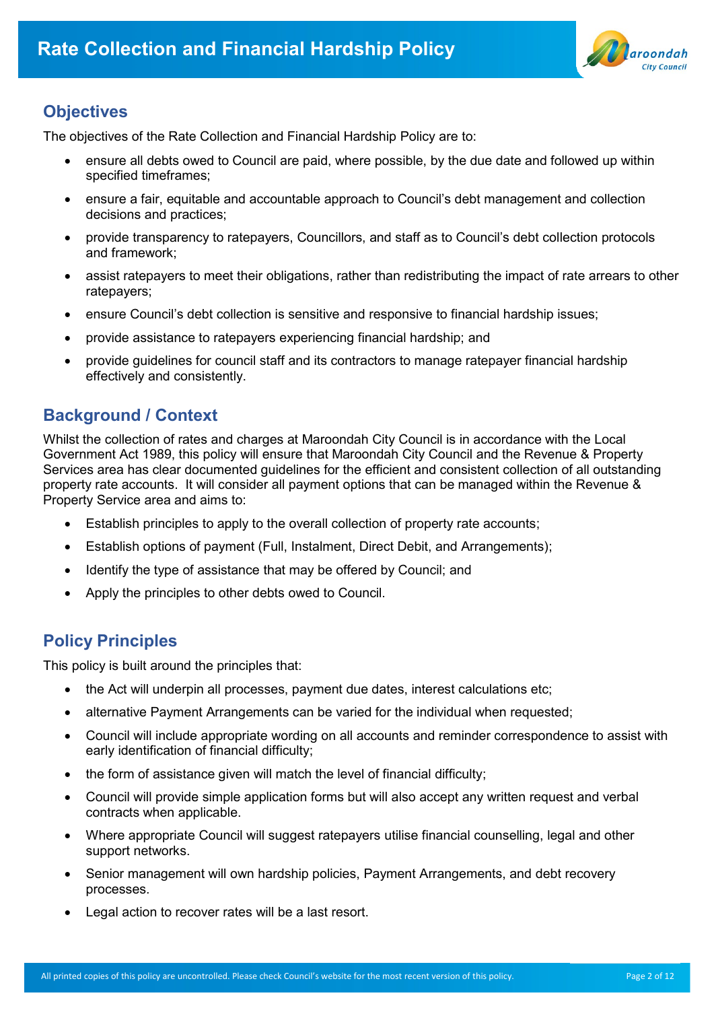

# **Objectives**

The objectives of the Rate Collection and Financial Hardship Policy are to:

- ensure all debts owed to Council are paid, where possible, by the due date and followed up within specified timeframes;
- ensure a fair, equitable and accountable approach to Council's debt management and collection decisions and practices;
- provide transparency to ratepayers, Councillors, and staff as to Council's debt collection protocols and framework;
- assist ratepayers to meet their obligations, rather than redistributing the impact of rate arrears to other ratepayers;
- ensure Council's debt collection is sensitive and responsive to financial hardship issues;
- provide assistance to ratepayers experiencing financial hardship; and
- provide guidelines for council staff and its contractors to manage ratepayer financial hardship effectively and consistently.

# **Background / Context**

Whilst the collection of rates and charges at Maroondah City Council is in accordance with the Local Government Act 1989, this policy will ensure that Maroondah City Council and the Revenue & Property Services area has clear documented guidelines for the efficient and consistent collection of all outstanding property rate accounts. It will consider all payment options that can be managed within the Revenue & Property Service area and aims to:

- Establish principles to apply to the overall collection of property rate accounts;
- Establish options of payment (Full, Instalment, Direct Debit, and Arrangements);
- Identify the type of assistance that may be offered by Council; and
- Apply the principles to other debts owed to Council.

# **Policy Principles**

This policy is built around the principles that:

- the Act will underpin all processes, payment due dates, interest calculations etc;
- alternative Payment Arrangements can be varied for the individual when requested;
- Council will include appropriate wording on all accounts and reminder correspondence to assist with early identification of financial difficulty;
- the form of assistance given will match the level of financial difficulty;
- Council will provide simple application forms but will also accept any written request and verbal contracts when applicable.
- Where appropriate Council will suggest ratepayers utilise financial counselling, legal and other support networks.
- Senior management will own hardship policies, Payment Arrangements, and debt recovery processes.
- Legal action to recover rates will be a last resort.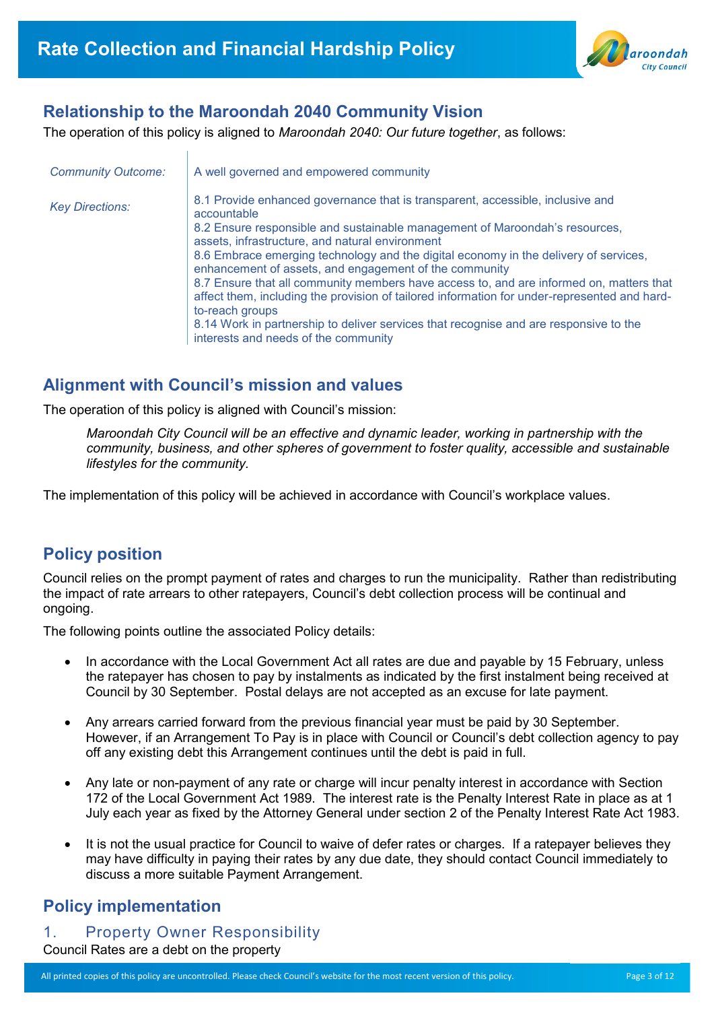

# **Relationship to the Maroondah 2040 Community Vision**

The operation of this policy is aligned to *Maroondah 2040: Our future together*, as follows:

| <b>Community Outcome:</b> | A well governed and empowered community                                                                                                                                                                                                                                                                                                                                                                                                                                                                                                                                                                                                                                                                                          |
|---------------------------|----------------------------------------------------------------------------------------------------------------------------------------------------------------------------------------------------------------------------------------------------------------------------------------------------------------------------------------------------------------------------------------------------------------------------------------------------------------------------------------------------------------------------------------------------------------------------------------------------------------------------------------------------------------------------------------------------------------------------------|
| <b>Key Directions:</b>    | 8.1 Provide enhanced governance that is transparent, accessible, inclusive and<br>accountable<br>8.2 Ensure responsible and sustainable management of Maroondah's resources,<br>assets, infrastructure, and natural environment<br>8.6 Embrace emerging technology and the digital economy in the delivery of services,<br>enhancement of assets, and engagement of the community<br>8.7 Ensure that all community members have access to, and are informed on, matters that<br>affect them, including the provision of tailored information for under-represented and hard-<br>to-reach groups<br>8.14 Work in partnership to deliver services that recognise and are responsive to the<br>interests and needs of the community |

## **Alignment with Council's mission and values**

The operation of this policy is aligned with Council's mission:

*Maroondah City Council will be an effective and dynamic leader, working in partnership with the community, business, and other spheres of government to foster quality, accessible and sustainable lifestyles for the community.*

The implementation of this policy will be achieved in accordance with Council's workplace values.

# **Policy position**

Council relies on the prompt payment of rates and charges to run the municipality. Rather than redistributing the impact of rate arrears to other ratepayers, Council's debt collection process will be continual and ongoing.

The following points outline the associated Policy details:

- In accordance with the Local Government Act all rates are due and payable by 15 February, unless the ratepayer has chosen to pay by instalments as indicated by the first instalment being received at Council by 30 September. Postal delays are not accepted as an excuse for late payment.
- Any arrears carried forward from the previous financial year must be paid by 30 September. However, if an Arrangement To Pay is in place with Council or Council's debt collection agency to pay off any existing debt this Arrangement continues until the debt is paid in full.
- Any late or non-payment of any rate or charge will incur penalty interest in accordance with Section 172 of the Local Government Act 1989. The interest rate is the Penalty Interest Rate in place as at 1 July each year as fixed by the Attorney General under section 2 of the Penalty Interest Rate Act 1983.
- It is not the usual practice for Council to waive of defer rates or charges. If a ratepayer believes they may have difficulty in paying their rates by any due date, they should contact Council immediately to discuss a more suitable Payment Arrangement.

# **Policy implementation**

## 1. Property Owner Responsibility

Council Rates are a debt on the property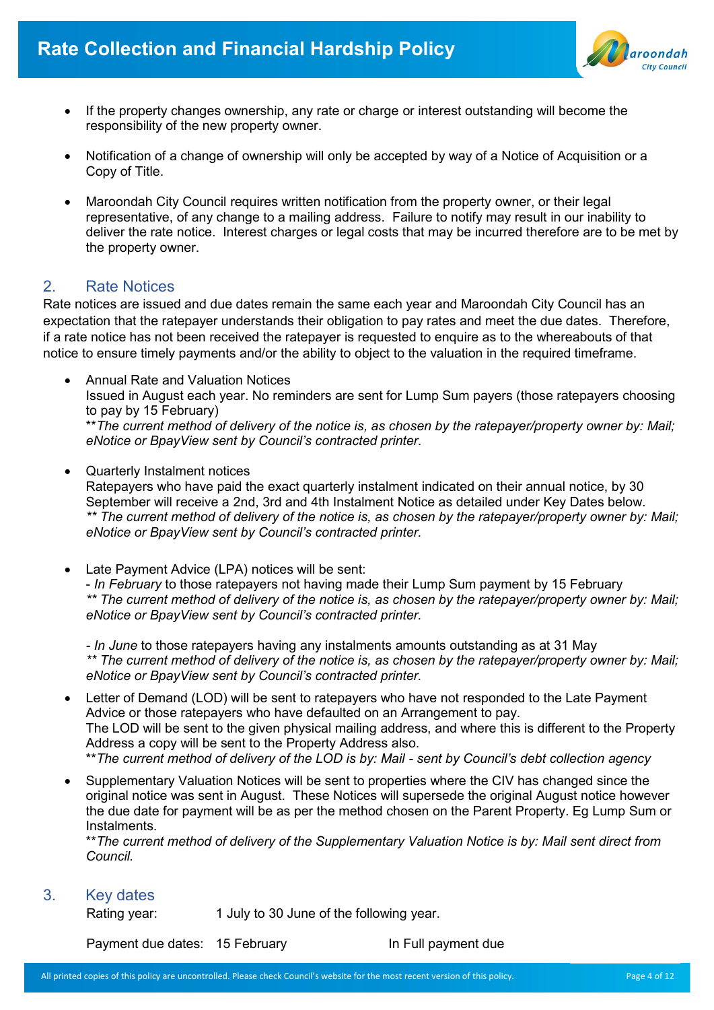

- If the property changes ownership, any rate or charge or interest outstanding will become the responsibility of the new property owner.
- Notification of a change of ownership will only be accepted by way of a Notice of Acquisition or a Copy of Title.
- Maroondah City Council requires written notification from the property owner, or their legal representative, of any change to a mailing address. Failure to notify may result in our inability to deliver the rate notice. Interest charges or legal costs that may be incurred therefore are to be met by the property owner.

## 2. Rate Notices

Rate notices are issued and due dates remain the same each year and Maroondah City Council has an expectation that the ratepayer understands their obligation to pay rates and meet the due dates. Therefore, if a rate notice has not been received the ratepayer is requested to enquire as to the whereabouts of that notice to ensure timely payments and/or the ability to object to the valuation in the required timeframe.

- Annual Rate and Valuation Notices Issued in August each year. No reminders are sent for Lump Sum payers (those ratepayers choosing to pay by 15 February) \*\**The current method of delivery of the notice is, as chosen by the ratepayer/property owner by: Mail; eNotice or BpayView sent by Council's contracted printer.*
- Quarterly Instalment notices

Ratepayers who have paid the exact quarterly instalment indicated on their annual notice, by 30 September will receive a 2nd, 3rd and 4th Instalment Notice as detailed under Key Dates below. *\*\* The current method of delivery of the notice is, as chosen by the ratepayer/property owner by: Mail; eNotice or BpayView sent by Council's contracted printer.*

Late Payment Advice (LPA) notices will be sent:

- *In February* to those ratepayers not having made their Lump Sum payment by 15 February *\*\* The current method of delivery of the notice is, as chosen by the ratepayer/property owner by: Mail; eNotice or BpayView sent by Council's contracted printer.*

*- In June* to those ratepayers having any instalments amounts outstanding as at 31 May *\*\* The current method of delivery of the notice is, as chosen by the ratepayer/property owner by: Mail; eNotice or BpayView sent by Council's contracted printer.*

- Letter of Demand (LOD) will be sent to ratepayers who have not responded to the Late Payment Advice or those ratepayers who have defaulted on an Arrangement to pay. The LOD will be sent to the given physical mailing address, and where this is different to the Property Address a copy will be sent to the Property Address also. \*\**The current method of delivery of the LOD is by: Mail - sent by Council's debt collection agency*
- Supplementary Valuation Notices will be sent to properties where the CIV has changed since the original notice was sent in August. These Notices will supersede the original August notice however the due date for payment will be as per the method chosen on the Parent Property. Eg Lump Sum or Instalments.

\*\**The current method of delivery of the Supplementary Valuation Notice is by: Mail sent direct from Council.*

3. Key dates

Rating year: 1 July to 30 June of the following year.

Payment due dates: 15 February In Full payment due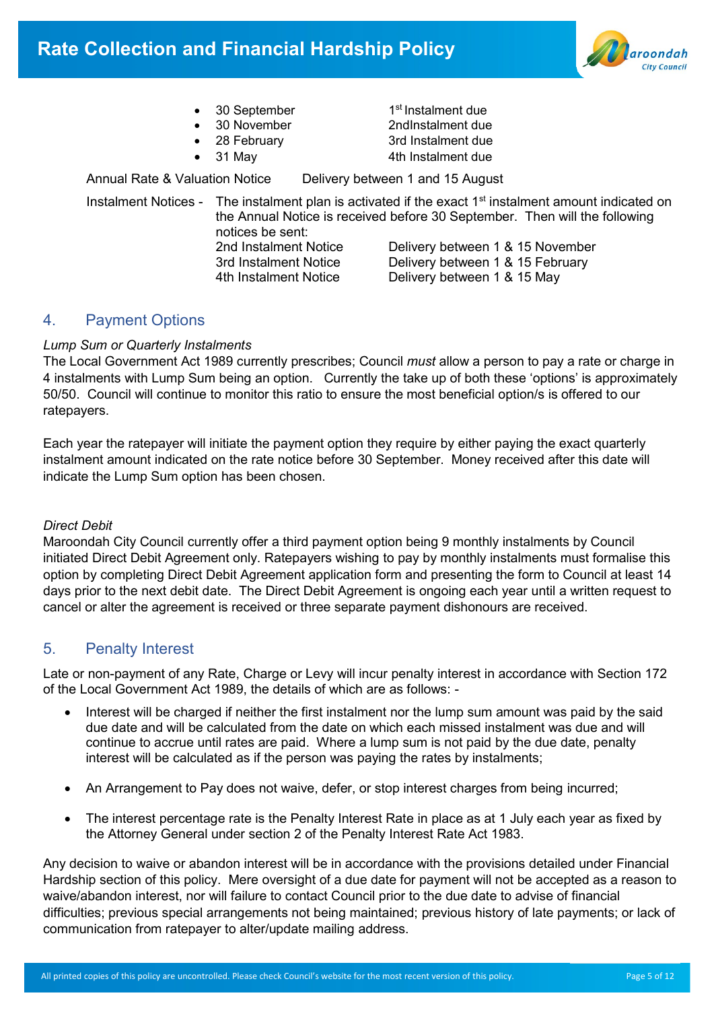

- 30 September
- 
- 
- 

1<sup>st</sup> Instalment due • 30 November 2ndInstalment due • 28 February 3rd Instalment due • 31 May 4th Instalment due

Annual Rate & Valuation Notice Delivery between 1 and 15 August

Instalment Notices - The instalment plan is activated if the exact  $1<sup>st</sup>$  instalment amount indicated on the Annual Notice is received before 30 September. Then will the following notices be sent: 2nd Instalment Notice Delivery between 1 & 15 November 3rd Instalment Notice Delivery between 1 & 15 February 4th Instalment Notice Delivery between 1 & 15 May

## 4. Payment Options

#### *Lump Sum or Quarterly Instalments*

The Local Government Act 1989 currently prescribes; Council *must* allow a person to pay a rate or charge in 4 instalments with Lump Sum being an option. Currently the take up of both these 'options' is approximately 50/50. Council will continue to monitor this ratio to ensure the most beneficial option/s is offered to our ratepayers.

Each year the ratepayer will initiate the payment option they require by either paying the exact quarterly instalment amount indicated on the rate notice before 30 September. Money received after this date will indicate the Lump Sum option has been chosen.

#### *Direct Debit*

Maroondah City Council currently offer a third payment option being 9 monthly instalments by Council initiated Direct Debit Agreement only. Ratepayers wishing to pay by monthly instalments must formalise this option by completing Direct Debit Agreement application form and presenting the form to Council at least 14 days prior to the next debit date. The Direct Debit Agreement is ongoing each year until a written request to cancel or alter the agreement is received or three separate payment dishonours are received.

## 5. Penalty Interest

Late or non-payment of any Rate, Charge or Levy will incur penalty interest in accordance with Section 172 of the Local Government Act 1989, the details of which are as follows: -

- Interest will be charged if neither the first instalment nor the lump sum amount was paid by the said due date and will be calculated from the date on which each missed instalment was due and will continue to accrue until rates are paid. Where a lump sum is not paid by the due date, penalty interest will be calculated as if the person was paying the rates by instalments;
- An Arrangement to Pay does not waive, defer, or stop interest charges from being incurred;
- The interest percentage rate is the Penalty Interest Rate in place as at 1 July each year as fixed by the Attorney General under section 2 of the Penalty Interest Rate Act 1983.

Any decision to waive or abandon interest will be in accordance with the provisions detailed under Financial Hardship section of this policy. Mere oversight of a due date for payment will not be accepted as a reason to waive/abandon interest, nor will failure to contact Council prior to the due date to advise of financial difficulties; previous special arrangements not being maintained; previous history of late payments; or lack of communication from ratepayer to alter/update mailing address.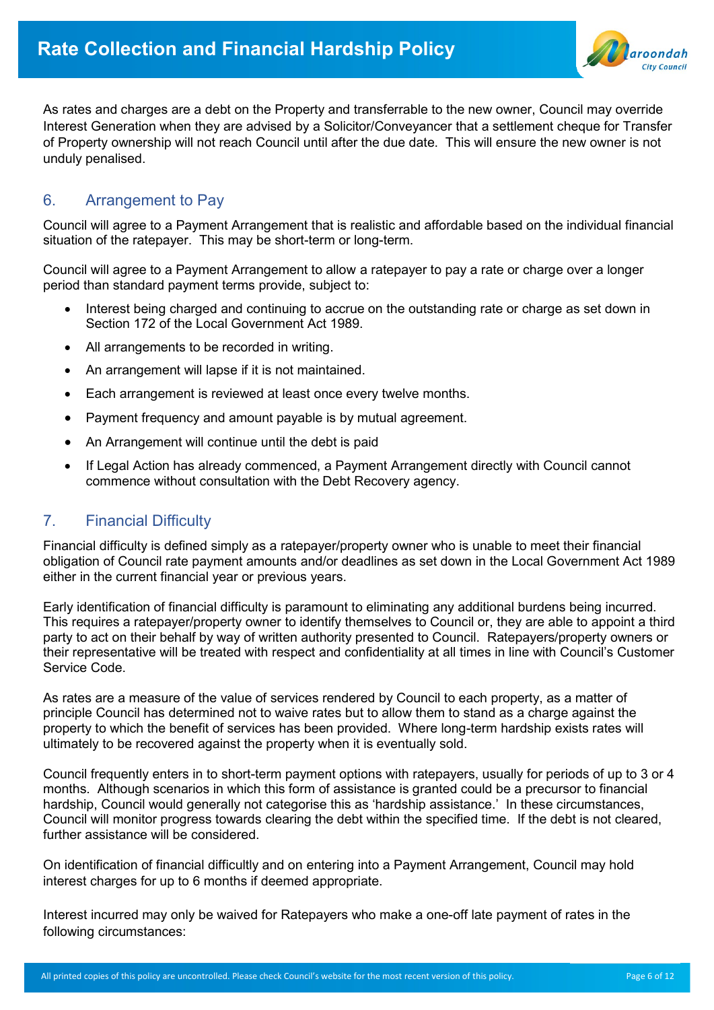

As rates and charges are a debt on the Property and transferrable to the new owner, Council may override Interest Generation when they are advised by a Solicitor/Conveyancer that a settlement cheque for Transfer of Property ownership will not reach Council until after the due date. This will ensure the new owner is not unduly penalised.

## 6. Arrangement to Pay

Council will agree to a Payment Arrangement that is realistic and affordable based on the individual financial situation of the ratepayer. This may be short-term or long-term.

Council will agree to a Payment Arrangement to allow a ratepayer to pay a rate or charge over a longer period than standard payment terms provide, subject to:

- Interest being charged and continuing to accrue on the outstanding rate or charge as set down in Section 172 of the Local Government Act 1989.
- All arrangements to be recorded in writing.
- An arrangement will lapse if it is not maintained.
- Each arrangement is reviewed at least once every twelve months.
- Payment frequency and amount payable is by mutual agreement.
- An Arrangement will continue until the debt is paid
- If Legal Action has already commenced, a Payment Arrangement directly with Council cannot commence without consultation with the Debt Recovery agency.

## 7. Financial Difficulty

Financial difficulty is defined simply as a ratepayer/property owner who is unable to meet their financial obligation of Council rate payment amounts and/or deadlines as set down in the Local Government Act 1989 either in the current financial year or previous years.

Early identification of financial difficulty is paramount to eliminating any additional burdens being incurred. This requires a ratepayer/property owner to identify themselves to Council or, they are able to appoint a third party to act on their behalf by way of written authority presented to Council. Ratepayers/property owners or their representative will be treated with respect and confidentiality at all times in line with Council's Customer Service Code.

As rates are a measure of the value of services rendered by Council to each property, as a matter of principle Council has determined not to waive rates but to allow them to stand as a charge against the property to which the benefit of services has been provided. Where long-term hardship exists rates will ultimately to be recovered against the property when it is eventually sold.

Council frequently enters in to short-term payment options with ratepayers, usually for periods of up to 3 or 4 months. Although scenarios in which this form of assistance is granted could be a precursor to financial hardship, Council would generally not categorise this as 'hardship assistance.' In these circumstances, Council will monitor progress towards clearing the debt within the specified time. If the debt is not cleared, further assistance will be considered.

On identification of financial difficultly and on entering into a Payment Arrangement, Council may hold interest charges for up to 6 months if deemed appropriate.

Interest incurred may only be waived for Ratepayers who make a one-off late payment of rates in the following circumstances: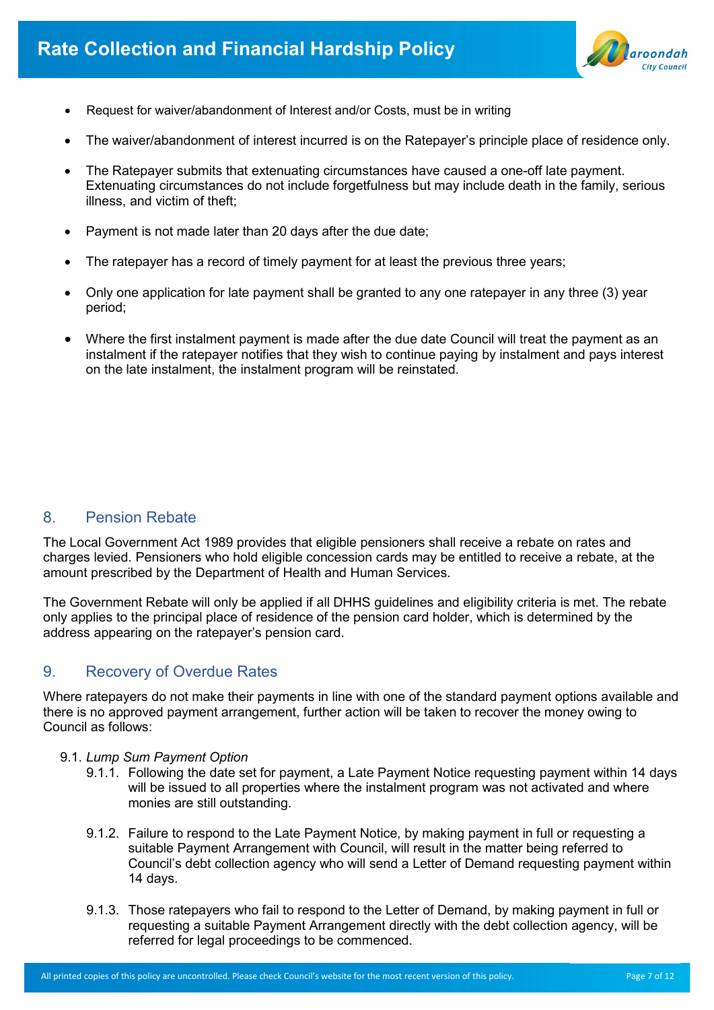

- Request for waiver/abandonment of Interest and/or Costs, must be in writing
- The waiver/abandonment of interest incurred is on the Ratepayer's principle place of residence only.
- The Ratepayer submits that extenuating circumstances have caused a one-off late payment. Extenuating circumstances do not include forgetfulness but may include death in the family, serious illness, and victim of theft;
- Payment is not made later than 20 days after the due date;
- The ratepayer has a record of timely payment for at least the previous three years;
- Only one application for late payment shall be granted to any one ratepayer in any three (3) year period;
- Where the first instalment payment is made after the due date Council will treat the payment as an instalment if the ratepayer notifies that they wish to continue paying by instalment and pays interest on the late instalment, the instalment program will be reinstated.

## 8. Pension Rebate

The Local Government Act 1989 provides that eligible pensioners shall receive a rebate on rates and charges levied. Pensioners who hold eligible concession cards may be entitled to receive a rebate, at the amount prescribed by the Department of Health and Human Services.

The Government Rebate will only be applied if all DHHS guidelines and eligibility criteria is met. The rebate only applies to the principal place of residence of the pension card holder, which is determined by the address appearing on the ratepayer's pension card.

## 9. Recovery of Overdue Rates

Where ratepayers do not make their payments in line with one of the standard payment options available and there is no approved payment arrangement, further action will be taken to recover the money owing to Council as follows:

- 9.1. *Lump Sum Payment Option*
	- 9.1.1. Following the date set for payment, a Late Payment Notice requesting payment within 14 days will be issued to all properties where the instalment program was not activated and where monies are still outstanding.
	- 9.1.2. Failure to respond to the Late Payment Notice, by making payment in full or requesting a suitable Payment Arrangement with Council, will result in the matter being referred to Council's debt collection agency who will send a Letter of Demand requesting payment within 14 days.
	- 9.1.3. Those ratepayers who fail to respond to the Letter of Demand, by making payment in full or requesting a suitable Payment Arrangement directly with the debt collection agency, will be referred for legal proceedings to be commenced.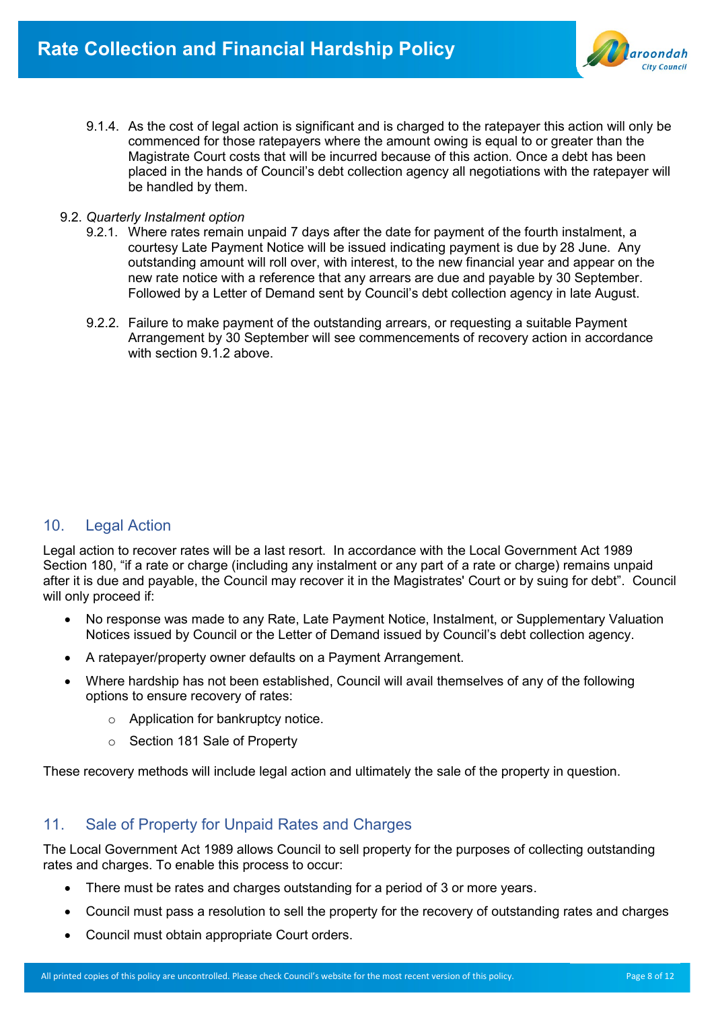

- 9.1.4. As the cost of legal action is significant and is charged to the ratepayer this action will only be commenced for those ratepayers where the amount owing is equal to or greater than the Magistrate Court costs that will be incurred because of this action. Once a debt has been placed in the hands of Council's debt collection agency all negotiations with the ratepayer will be handled by them.
- 9.2. *Quarterly Instalment option*
	- 9.2.1. Where rates remain unpaid 7 days after the date for payment of the fourth instalment, a courtesy Late Payment Notice will be issued indicating payment is due by 28 June. Any outstanding amount will roll over, with interest, to the new financial year and appear on the new rate notice with a reference that any arrears are due and payable by 30 September. Followed by a Letter of Demand sent by Council's debt collection agency in late August.
	- 9.2.2. Failure to make payment of the outstanding arrears, or requesting a suitable Payment Arrangement by 30 September will see commencements of recovery action in accordance with section 9.1.2 above.

## 10. Legal Action

Legal action to recover rates will be a last resort. In accordance with the Local Government Act 1989 Section 180, "if a rate or charge (including any instalment or any part of a rate or charge) remains unpaid after it is due and payable, the Council may recover it in the Magistrates' Court or by suing for debt". Council will only proceed if:

- No response was made to any Rate, Late Payment Notice, Instalment, or Supplementary Valuation Notices issued by Council or the Letter of Demand issued by Council's debt collection agency.
- A ratepayer/property owner defaults on a Payment Arrangement.
- Where hardship has not been established, Council will avail themselves of any of the following options to ensure recovery of rates:
	- o Application for bankruptcy notice.
	- o Section 181 Sale of Property

These recovery methods will include legal action and ultimately the sale of the property in question.

## 11. Sale of Property for Unpaid Rates and Charges

The Local Government Act 1989 allows Council to sell property for the purposes of collecting outstanding rates and charges. To enable this process to occur:

- There must be rates and charges outstanding for a period of 3 or more years.
- Council must pass a resolution to sell the property for the recovery of outstanding rates and charges
- Council must obtain appropriate Court orders.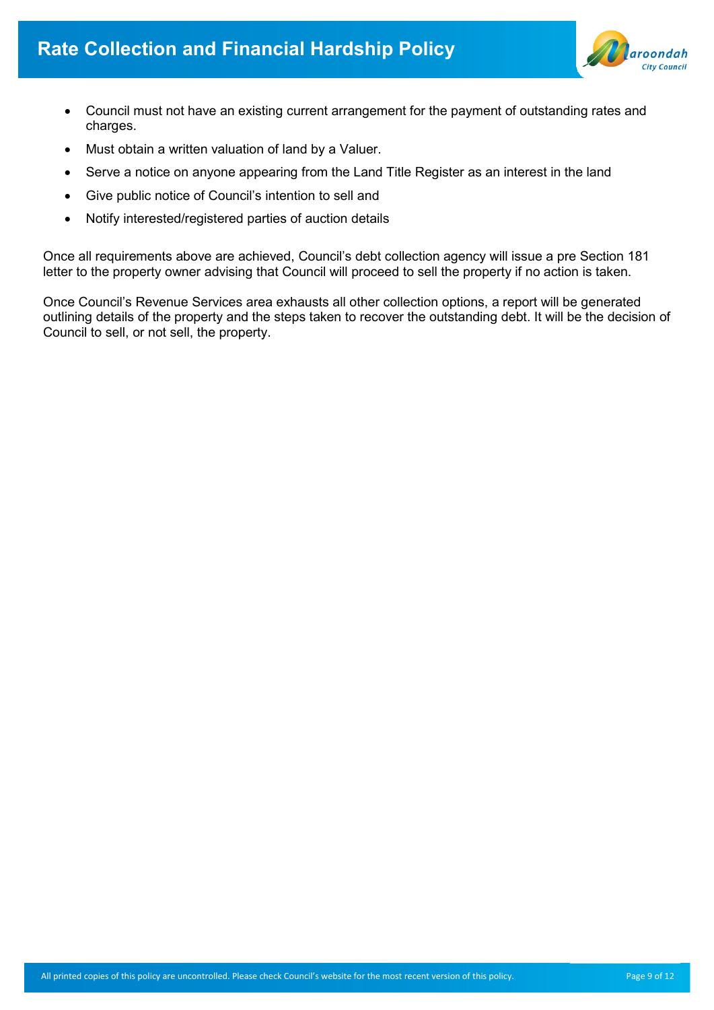

- Council must not have an existing current arrangement for the payment of outstanding rates and charges.
- Must obtain a written valuation of land by a Valuer.
- Serve a notice on anyone appearing from the Land Title Register as an interest in the land
- Give public notice of Council's intention to sell and
- Notify interested/registered parties of auction details

Once all requirements above are achieved, Council's debt collection agency will issue a pre Section 181 letter to the property owner advising that Council will proceed to sell the property if no action is taken.

Once Council's Revenue Services area exhausts all other collection options, a report will be generated outlining details of the property and the steps taken to recover the outstanding debt. It will be the decision of Council to sell, or not sell, the property.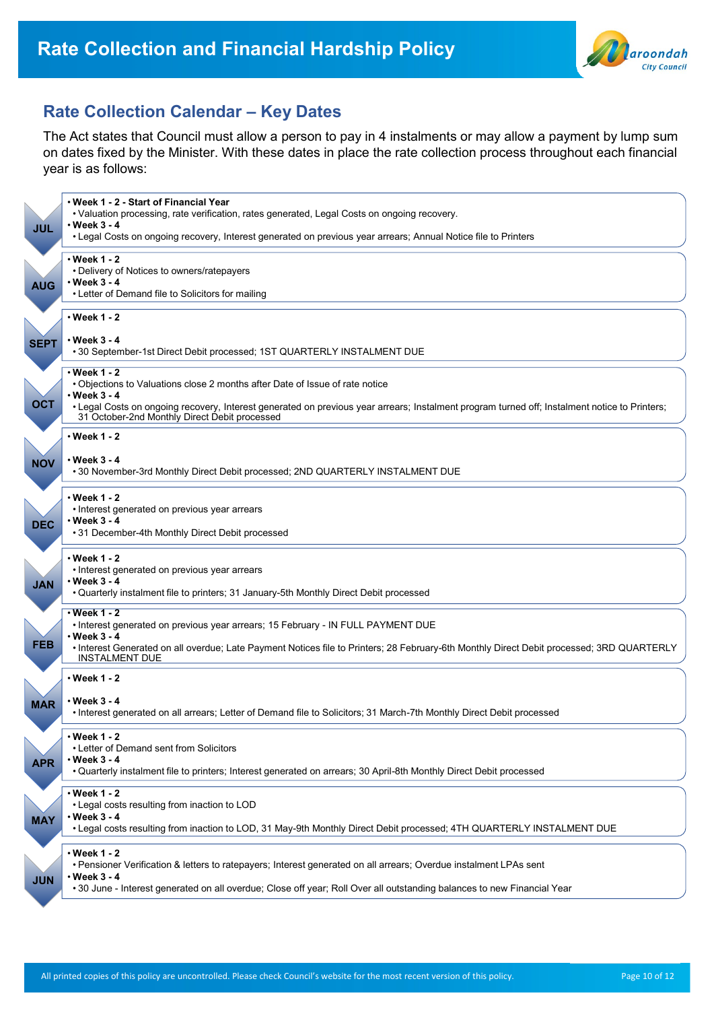

# **Rate Collection Calendar – Key Dates**

The Act states that Council must allow a person to pay in 4 instalments or may allow a payment by lump sum on dates fixed by the Minister. With these dates in place the rate collection process throughout each financial year is as follows:

| JUL         | • Week 1 - 2 - Start of Financial Year<br>. Valuation processing, rate verification, rates generated, Legal Costs on ongoing recovery.<br>$\cdot$ Week 3 - 4<br>• Legal Costs on ongoing recovery, Interest generated on previous year arrears; Annual Notice file to Printers |
|-------------|--------------------------------------------------------------------------------------------------------------------------------------------------------------------------------------------------------------------------------------------------------------------------------|
|             |                                                                                                                                                                                                                                                                                |
| <b>AUG</b>  | • Week 1 - 2<br>• Delivery of Notices to owners/ratepayers<br>$\cdot$ Week 3 - 4<br>• Letter of Demand file to Solicitors for mailing                                                                                                                                          |
|             |                                                                                                                                                                                                                                                                                |
| <b>SEPT</b> | • Week 1 - 2<br>∙ Week 3 - 4                                                                                                                                                                                                                                                   |
|             | • 30 September-1st Direct Debit processed; 1ST QUARTERLY INSTALMENT DUE                                                                                                                                                                                                        |
|             | $\cdot$ Week 1 - 2<br>. Objections to Valuations close 2 months after Date of Issue of rate notice<br>$\cdot$ Week 3 - 4                                                                                                                                                       |
| <b>OCT</b>  | • Legal Costs on ongoing recovery, Interest generated on previous year arrears; Instalment program turned off; Instalment notice to Printers;<br>31 October-2nd Monthly Direct Debit processed                                                                                 |
|             | • Week 1 - 2                                                                                                                                                                                                                                                                   |
| <b>NOV</b>  | • Week 3 - 4<br>.30 November-3rd Monthly Direct Debit processed; 2ND QUARTERLY INSTALMENT DUE                                                                                                                                                                                  |
| <b>DEC</b>  | • Week 1 - 2<br>• Interest generated on previous year arrears<br>∙ Week 3 - 4<br>•31 December-4th Monthly Direct Debit processed                                                                                                                                               |
| <b>JAN</b>  | ∙Week 1 - 2<br>• Interest generated on previous year arrears<br>$\cdot$ Week 3 - 4<br>• Quarterly instalment file to printers; 31 January-5th Monthly Direct Debit processed                                                                                                   |
|             |                                                                                                                                                                                                                                                                                |
|             | $\cdot$ Week 1 - 2<br>. Interest generated on previous year arrears; 15 February - IN FULL PAYMENT DUE<br>• Week 3 - 4                                                                                                                                                         |
| <b>FEB</b>  | · Interest Generated on all overdue; Late Payment Notices file to Printers; 28 February-6th Monthly Direct Debit processed; 3RD QUARTERLY<br><b>INSTALMENT DUE</b>                                                                                                             |
|             | • Week 1 - 2                                                                                                                                                                                                                                                                   |
| <b>MAR</b>  | • Week 3 - 4<br>• Interest generated on all arrears; Letter of Demand file to Solicitors; 31 March-7th Monthly Direct Debit processed                                                                                                                                          |
| <b>APR</b>  | • Week 1 - 2<br>• Letter of Demand sent from Solicitors<br>• Week 3 - 4                                                                                                                                                                                                        |
|             | • Quarterly instalment file to printers; Interest generated on arrears; 30 April-8th Monthly Direct Debit processed                                                                                                                                                            |
| <b>MAY</b>  | $\cdot$ Week 1 - 2<br>• Legal costs resulting from inaction to LOD<br>• Week 3 - 4                                                                                                                                                                                             |
|             | •Legal costs resulting from inaction to LOD, 31 May-9th Monthly Direct Debit processed; 4TH QUARTERLY INSTALMENT DUE                                                                                                                                                           |
| <b>JUN</b>  | $\cdot$ Week 1 - 2<br>• Pensioner Verification & letters to ratepayers; Interest generated on all arrears; Overdue instalment LPAs sent<br>• Week 3 - 4                                                                                                                        |
|             | •30 June - Interest generated on all overdue; Close off year; Roll Over all outstanding balances to new Financial Year                                                                                                                                                         |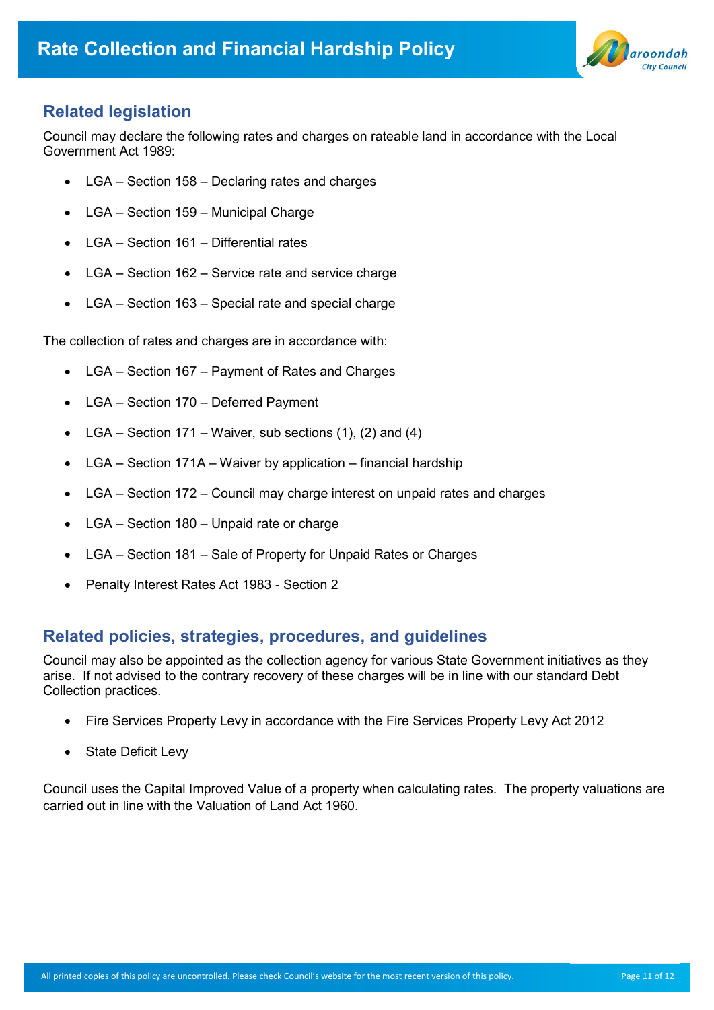

# **Related legislation**

Council may declare the following rates and charges on rateable land in accordance with the Local Government Act 1989:

- LGA Section 158 Declaring rates and charges
- LGA Section 159 Municipal Charge
- LGA Section 161 Differential rates
- LGA Section 162 Service rate and service charge
- LGA Section 163 Special rate and special charge

The collection of rates and charges are in accordance with:

- LGA Section 167 Payment of Rates and Charges
- LGA Section 170 Deferred Payment
- LGA Section 171 Waiver, sub sections  $(1)$ ,  $(2)$  and  $(4)$
- LGA Section 171A Waiver by application financial hardship
- LGA Section 172 Council may charge interest on unpaid rates and charges
- LGA Section 180 Unpaid rate or charge
- LGA Section 181 Sale of Property for Unpaid Rates or Charges
- Penalty Interest Rates Act 1983 Section 2

# **Related policies, strategies, procedures, and guidelines**

Council may also be appointed as the collection agency for various State Government initiatives as they arise. If not advised to the contrary recovery of these charges will be in line with our standard Debt Collection practices.

- Fire Services Property Levy in accordance with the Fire Services Property Levy Act 2012
- State Deficit Levy

Council uses the Capital Improved Value of a property when calculating rates. The property valuations are carried out in line with the Valuation of Land Act 1960.